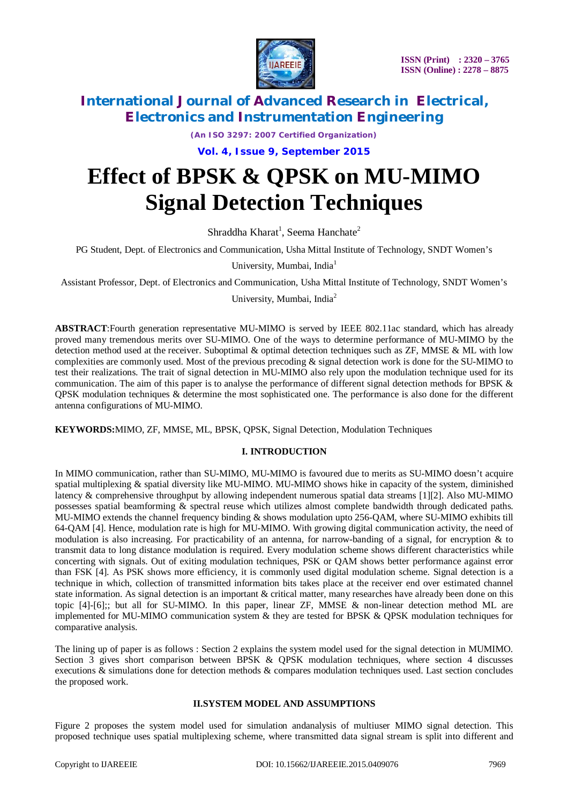

*(An ISO 3297: 2007 Certified Organization)*

### **Vol. 4, Issue 9, September 2015**

# **Effect of BPSK & QPSK on MU-MIMO Signal Detection Techniques**

Shraddha Kharat<sup>1</sup>, Seema Hanchate<sup>2</sup>

PG Student*,* Dept. of Electronics and Communication, Usha Mittal Institute of Technology, SNDT Women's

University, Mumbai, India<sup>1</sup>

Assistant Professor*,* Dept. of Electronics and Communication, Usha Mittal Institute of Technology, SNDT Women's

University, Mumbai, India<sup>2</sup>

**ABSTRACT**:Fourth generation representative MU-MIMO is served by IEEE 802.11ac standard, which has already proved many tremendous merits over SU-MIMO. One of the ways to determine performance of MU-MIMO by the detection method used at the receiver. Suboptimal & optimal detection techniques such as ZF, MMSE & ML with low complexities are commonly used. Most of the previous precoding & signal detection work is done for the SU-MIMO to test their realizations. The trait of signal detection in MU-MIMO also rely upon the modulation technique used for its communication. The aim of this paper is to analyse the performance of different signal detection methods for BPSK  $\&$ QPSK modulation techniques & determine the most sophisticated one. The performance is also done for the different antenna configurations of MU-MIMO.

**KEYWORDS:**MIMO, ZF, MMSE, ML, BPSK, QPSK, Signal Detection, Modulation Techniques

### **I. INTRODUCTION**

In MIMO communication, rather than SU-MIMO, MU-MIMO is favoured due to merits as SU-MIMO doesn't acquire spatial multiplexing  $\&$  spatial diversity like MU-MIMO. MU-MIMO shows hike in capacity of the system, diminished latency & comprehensive throughput by allowing independent numerous spatial data streams [1][2]. Also MU-MIMO possesses spatial beamforming & spectral reuse which utilizes almost complete bandwidth through dedicated paths. MU-MIMO extends the channel frequency binding & shows modulation upto 256-QAM, where SU-MIMO exhibits till 64-QAM [4]. Hence, modulation rate is high for MU-MIMO. With growing digital communication activity, the need of modulation is also increasing. For practicability of an antenna, for narrow-banding of a signal, for encryption & to transmit data to long distance modulation is required. Every modulation scheme shows different characteristics while concerting with signals. Out of exiting modulation techniques, PSK or QAM shows better performance against error than FSK [4]. As PSK shows more efficiency, it is commonly used digital modulation scheme. Signal detection is a technique in which, collection of transmitted information bits takes place at the receiver end over estimated channel state information. As signal detection is an important & critical matter, many researches have already been done on this topic [4]-[6];; but all for SU-MIMO. In this paper, linear ZF, MMSE & non-linear detection method ML are implemented for MU-MIMO communication system  $\&$  they are tested for BPSK  $\&$  QPSK modulation techniques for comparative analysis.

The lining up of paper is as follows : Section 2 explains the system model used for the signal detection in MUMIMO. Section 3 gives short comparison between BPSK & QPSK modulation techniques, where section 4 discusses executions & simulations done for detection methods & compares modulation techniques used. Last section concludes the proposed work.

#### **II.SYSTEM MODEL AND ASSUMPTIONS**

Figure 2 proposes the system model used for simulation andanalysis of multiuser MIMO signal detection. This proposed technique uses spatial multiplexing scheme, where transmitted data signal stream is split into different and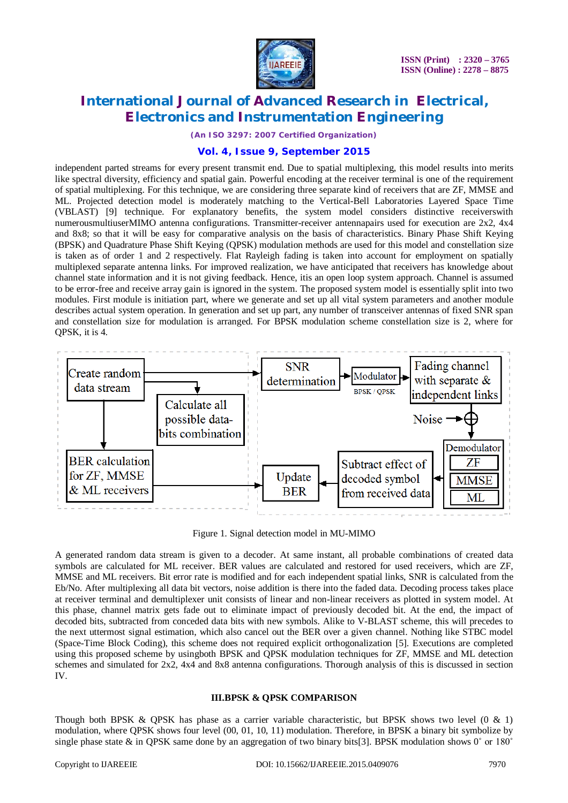

*(An ISO 3297: 2007 Certified Organization)*

### **Vol. 4, Issue 9, September 2015**

independent parted streams for every present transmit end. Due to spatial multiplexing, this model results into merits like spectral diversity, efficiency and spatial gain. Powerful encoding at the receiver terminal is one of the requirement of spatial multiplexing. For this technique, we are considering three separate kind of receivers that are ZF, MMSE and ML. Projected detection model is moderately matching to the Vertical-Bell Laboratories Layered Space Time (VBLAST) [9] technique. For explanatory benefits, the system model considers distinctive receiverswith numerousmultiuserMIMO antenna configurations. Transmitter-receiver antennapairs used for execution are 2x2, 4x4 and 8x8; so that it will be easy for comparative analysis on the basis of characteristics. Binary Phase Shift Keying (BPSK) and Quadrature Phase Shift Keying (QPSK) modulation methods are used for this model and constellation size is taken as of order 1 and 2 respectively. Flat Rayleigh fading is taken into account for employment on spatially multiplexed separate antenna links. For improved realization, we have anticipated that receivers has knowledge about channel state information and it is not giving feedback. Hence, itis an open loop system approach. Channel is assumed to be error-free and receive array gain is ignored in the system. The proposed system model is essentially split into two modules. First module is initiation part, where we generate and set up all vital system parameters and another module describes actual system operation. In generation and set up part, any number of transceiver antennas of fixed SNR span and constellation size for modulation is arranged. For BPSK modulation scheme constellation size is 2, where for QPSK, it is 4.



Figure 1. Signal detection model in MU-MIMO

A generated random data stream is given to a decoder. At same instant, all probable combinations of created data symbols are calculated for ML receiver. BER values are calculated and restored for used receivers, which are ZF, MMSE and ML receivers. Bit error rate is modified and for each independent spatial links, SNR is calculated from the Eb/No. After multiplexing all data bit vectors, noise addition is there into the faded data. Decoding process takes place at receiver terminal and demultiplexer unit consists of linear and non-linear receivers as plotted in system model. At this phase, channel matrix gets fade out to eliminate impact of previously decoded bit. At the end, the impact of decoded bits, subtracted from conceded data bits with new symbols. Alike to V-BLAST scheme, this will precedes to the next uttermost signal estimation, which also cancel out the BER over a given channel. Nothing like STBC model (Space-Time Block Coding), this scheme does not required explicit orthogonalization [5]. Executions are completed using this proposed scheme by usingboth BPSK and QPSK modulation techniques for ZF, MMSE and ML detection schemes and simulated for 2x2, 4x4 and 8x8 antenna configurations. Thorough analysis of this is discussed in section IV.

#### **III.BPSK & QPSK COMPARISON**

Though both BPSK & OPSK has phase as a carrier variable characteristic, but BPSK shows two level  $(0 \& 1)$ modulation, where QPSK shows four level (00, 01, 10, 11) modulation. Therefore, in BPSK a binary bit symbolize by single phase state & in QPSK same done by an aggregation of two binary bits[3]. BPSK modulation shows  $0^\circ$  or 180 $^\circ$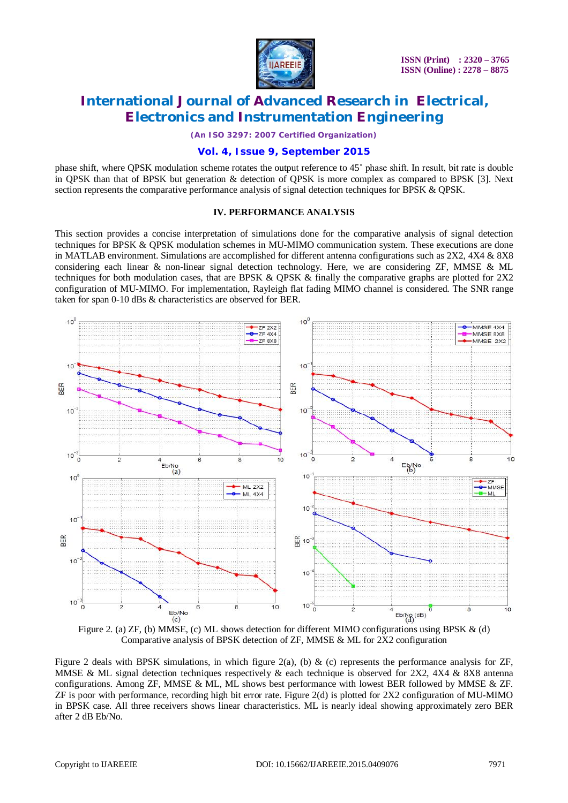

*(An ISO 3297: 2007 Certified Organization)*

#### **Vol. 4, Issue 9, September 2015**

phase shift, where QPSK modulation scheme rotates the output reference to 45˚ phase shift. In result, bit rate is double in QPSK than that of BPSK but generation & detection of QPSK is more complex as compared to BPSK [3]. Next section represents the comparative performance analysis of signal detection techniques for BPSK & QPSK.

#### **IV. PERFORMANCE ANALYSIS**

This section provides a concise interpretation of simulations done for the comparative analysis of signal detection techniques for BPSK & QPSK modulation schemes in MU-MIMO communication system. These executions are done in MATLAB environment. Simulations are accomplished for different antenna configurations such as 2X2, 4X4 & 8X8 considering each linear & non-linear signal detection technology. Here, we are considering ZF, MMSE & ML techniques for both modulation cases, that are BPSK & QPSK & finally the comparative graphs are plotted for 2X2 configuration of MU-MIMO. For implementation, Rayleigh flat fading MIMO channel is considered. The SNR range taken for span 0-10 dBs & characteristics are observed for BER.





Figure 2 deals with BPSK simulations, in which figure  $2(a)$ , (b) & (c) represents the performance analysis for ZF, MMSE & ML signal detection techniques respectively  $\&$  each technique is observed for 2X2, 4X4  $\&$  8X8 antenna configurations. Among ZF, MMSE & ML, ML shows best performance with lowest BER followed by MMSE & ZF. ZF is poor with performance, recording high bit error rate. Figure 2(d) is plotted for 2X2 configuration of MU-MIMO in BPSK case. All three receivers shows linear characteristics. ML is nearly ideal showing approximately zero BER after 2 dB Eb/No.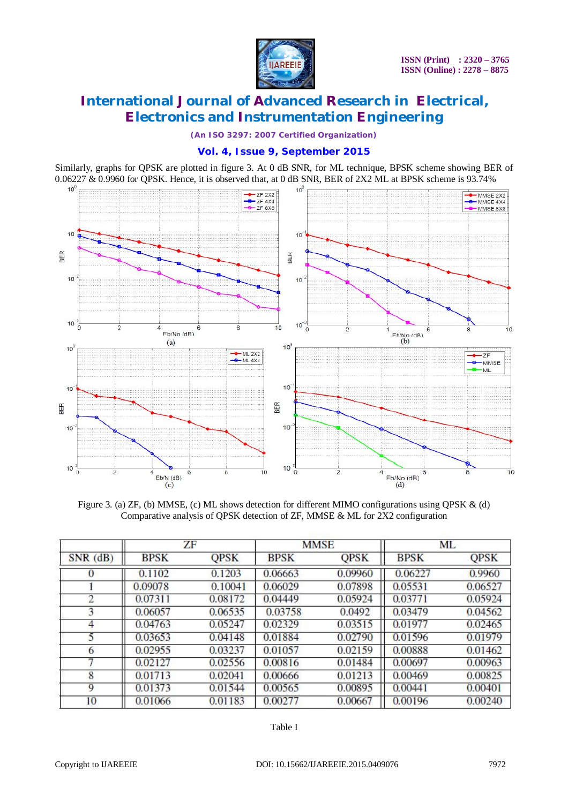

*(An ISO 3297: 2007 Certified Organization)*

### **Vol. 4, Issue 9, September 2015**

Similarly, graphs for QPSK are plotted in figure 3. At 0 dB SNR, for ML technique, BPSK scheme showing BER of 0.06227 & 0.9960 for QPSK. Hence, it is observed that, at 0 dB SNR, BER of 2X2 ML at BPSK scheme is 93.74%



Figure 3. (a) ZF, (b) MMSE, (c) ML shows detection for different MIMO configurations using QPSK & (d) Comparative analysis of QPSK detection of ZF, MMSE & ML for 2X2 configuration

| $SNR$ (dB) | ZF          |             | <b>MMSE</b> |             | <b>ML</b>   |             |
|------------|-------------|-------------|-------------|-------------|-------------|-------------|
|            | <b>BPSK</b> | <b>QPSK</b> | <b>BPSK</b> | <b>QPSK</b> | <b>BPSK</b> | <b>QPSK</b> |
| $\Omega$   | 0.1102      | 0.1203      | 0.06663     | 0.09960     | 0.06227     | 0.9960      |
|            | 0.09078     | 0.10041     | 0.06029     | 0.07898     | 0.05531     | 0.06527     |
| 2          | 0.07311     | 0.08172     | 0.04449     | 0.05924     | 0.03771     | 0.05924     |
| 3          | 0.06057     | 0.06535     | 0.03758     | 0.0492      | 0.03479     | 0.04562     |
| 4          | 0.04763     | 0.05247     | 0.02329     | 0.03515     | 0.01977     | 0.02465     |
| 5          | 0.03653     | 0.04148     | 0.01884     | 0.02790     | 0.01596     | 0.01979     |
| 6          | 0.02955     | 0.03237     | 0.01057     | 0.02159     | 0.00888     | 0.01462     |
|            | 0.02127     | 0.02556     | 0.00816     | 0.01484     | 0.00697     | 0.00963     |
| 8          | 0.01713     | 0.02041     | 0.00666     | 0.01213     | 0.00469     | 0.00825     |
| 9          | 0.01373     | 0.01544     | 0.00565     | 0.00895     | 0.00441     | 0.00401     |
| 10         | 0.01066     | 0.01183     | 0.00277     | 0.00667     | 0.00196     | 0.00240     |

#### Table I